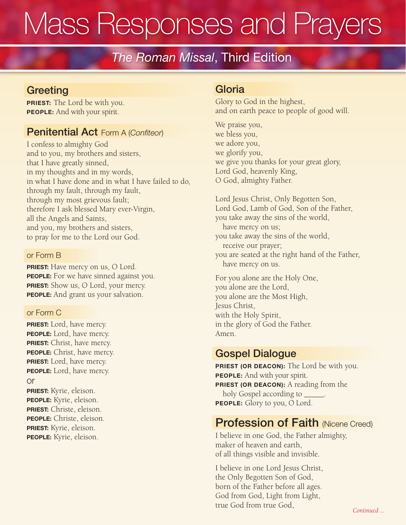# Mass Responses and Prayers

# The Roman Missal, Third Edition

#### **Greeting**

**PRIEST:** The Lord be with you. PEOPLE: And with your spirit.

#### Penitential Act Form A (Confiteor)

I confess to almighty God and to you, my brothers and sisters, that I have greatly sinned, in my thoughts and in my words, in what I have done and in what I have failed to do, through my fault, through my fault, through my most grievous fault; therefore I ask blessed Mary ever-Virgin, all the Angels and Saints, and you, my brothers and sisters, to pray for me to the Lord our God.

#### or Form B

**PRIEST:** Have mercy on us, O Lord. PEOPLE: For we have sinned against you. **PRIEST:** Show us, O Lord, your mercy. PEOPLE: And grant us your salvation.

#### or Form C

PRIEST: Lord, have mercy. PEOPLE: Lord, have mercy. PRIEST: Christ, have mercy. PEOPLE: Christ, have mercy. PRIEST: Lord, have mercy. PEOPLE: Lord, have mercy. or PRIEST: Kyrie, eleison.

PEOPLE: Kyrie, eleison. PRIEST: Christe, eleison. PEOPLE: Christe, eleison. PRIEST: Kyrie, eleison. PEOPLE: Kyrie, eleison.

#### Gloria

Glory to God in the highest, and on earth peace to people of good will.

We praise you, we bless you, we adore you, we glorify you, we give you thanks for your great glory, Lord God, heavenly King, O God, almighty Father.

Lord Jesus Christ, Only Begotten Son, Lord God, Lamb of God, Son of the Father, you take away the sins of the world, have mercy on us; you take away the sins of the world, receive our prayer; you are seated at the right hand of the Father, have mercy on us.

For you alone are the Holy One, you alone are the Lord, you alone are the Most High, Jesus Christ, with the Holy Spirit, in the glory of God the Father. Amen.

#### Gospel Dialogue

PRIEST (OR DEACON): The Lord be with you. PEOPLE: And with your spirit. PRIEST (OR DEACON): A reading from the holy Gospel according to \_\_\_\_\_. PEOPLE: Glory to you, O Lord.

#### **Profession of Faith (Nicene Creed)**

I believe in one God, the Father almighty, maker of heaven and earth, of all things visible and invisible.

I believe in one Lord Jesus Christ, the Only Begotten Son of God, born of the Father before all ages. God from God, Light from Light, true God from true God, *Continued ...*